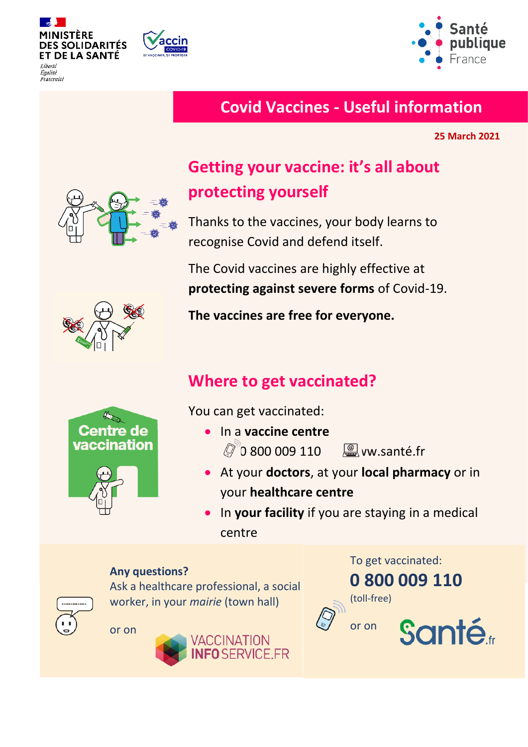

........<br>Égalité Fraternité



## **Covid Vaccines - Useful information**

**25 March 2021**

# **Getting your vaccine: it's all about protecting yourself**

Thanks to the vaccines, your body learns to recognise Covid and defend itself.

The Covid vaccines are highly effective at **protecting against severe forms** of Covid-19.

**The vaccines are free for everyone.**

# **Where to get vaccinated?**

You can get vaccinated:

- In a **vaccine centre 2** 0 800 009 110 **and 10** www.santé.fr
- At your **doctors**, at your **local pharmacy** or in your **healthcare centre**
- In **your facility** if you are staying in a medical centre

#### **Any questions?**



Ask a healthcare professional, a social worker, in your *mairie* (town hall)

or on







**Centre de** vaccination